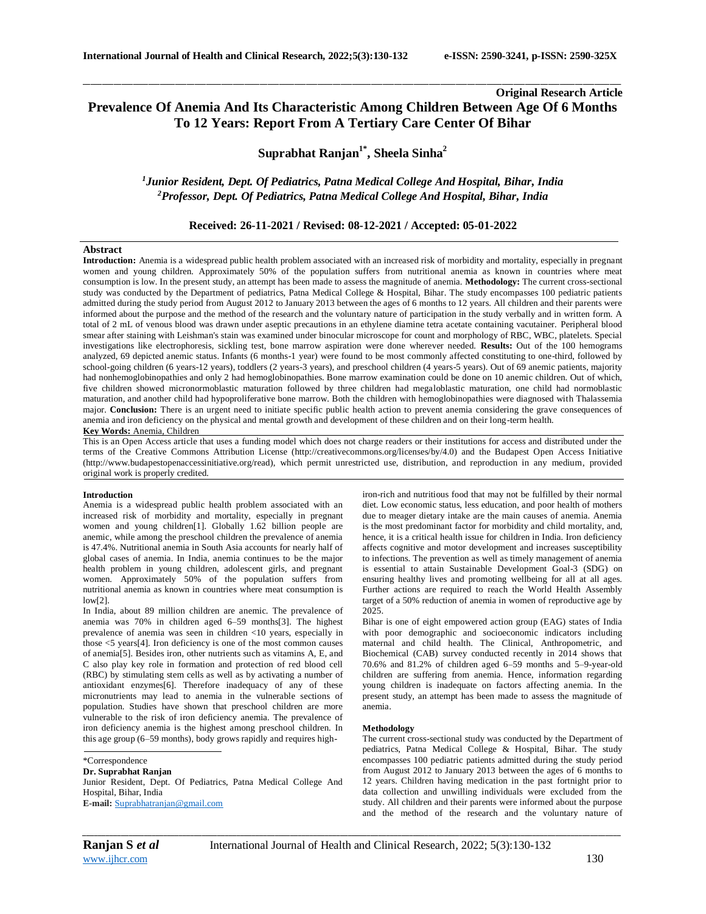# **Original Research Article Prevalence Of Anemia And Its Characteristic Among Children Between Age Of 6 Months To 12 Years: Report From A Tertiary Care Center Of Bihar**

\_\_\_\_\_\_\_\_\_\_\_\_\_\_\_\_\_\_\_\_\_\_\_\_\_\_\_\_\_\_\_\_\_\_\_\_\_\_\_\_\_\_\_\_\_\_\_\_\_\_\_\_\_\_\_\_\_\_\_\_\_\_\_\_\_\_\_\_\_\_\_\_\_\_\_\_\_\_\_\_\_\_\_\_\_\_\_\_\_\_\_\_\_\_\_\_\_\_\_\_\_\_\_\_\_\_\_\_\_\_\_\_\_\_\_\_\_\_\_\_\_\_\_\_\_\_\_\_\_\_\_\_\_\_\_\_\_\_\_\_

**Suprabhat Ranjan1\* , Sheela Sinha<sup>2</sup>**

*<sup>1</sup>Junior Resident, Dept. Of Pediatrics, Patna Medical College And Hospital, Bihar, India <sup>2</sup>Professor, Dept. Of Pediatrics, Patna Medical College And Hospital, Bihar, India*

**Received: 26-11-2021 / Revised: 08-12-2021 / Accepted: 05-01-2022**

#### **Abstract**

**Introduction:** Anemia is a widespread public health problem associated with an increased risk of morbidity and mortality, especially in pregnant women and young children. Approximately 50% of the population suffers from nutritional anemia as known in countries where meat consumption is low. In the present study, an attempt has been made to assess the magnitude of anemia. **Methodology:** The current cross-sectional study was conducted by the Department of pediatrics, Patna Medical College & Hospital, Bihar. The study encompasses 100 pediatric patients admitted during the study period from August 2012 to January 2013 between the ages of 6 months to 12 years. All children and their parents were informed about the purpose and the method of the research and the voluntary nature of participation in the study verbally and in written form. A total of 2 mL of venous blood was drawn under aseptic precautions in an ethylene diamine tetra acetate containing vacutainer. Peripheral blood smear after staining with Leishman's stain was examined under binocular microscope for count and morphology of RBC, WBC, platelets. Special investigations like electrophoresis, sickling test, bone marrow aspiration were done wherever needed. **Results:** Out of the 100 hemograms analyzed, 69 depicted anemic status. Infants (6 months-1 year) were found to be most commonly affected constituting to one-third, followed by school-going children (6 years-12 years), toddlers (2 years-3 years), and preschool children (4 years-5 years). Out of 69 anemic patients, majority had nonhemoglobinopathies and only 2 had hemoglobinopathies. Bone marrow examination could be done on 10 anemic children. Out of which, five children showed micronormoblastic maturation followed by three children had megaloblastic maturation, one child had normoblastic maturation, and another child had hypoproliferative bone marrow. Both the children with hemoglobinopathies were diagnosed with Thalassemia major. **Conclusion:** There is an urgent need to initiate specific public health action to prevent anemia considering the grave consequences of anemia and iron deficiency on the physical and mental growth and development of these children and on their long-term health. **Key Words:** Anemia, Children

This is an Open Access article that uses a funding model which does not charge readers or their institutions for access and distributed under the terms of the Creative Commons Attribution License (http://creativecommons.org/licenses/by/4.0) and the Budapest Open Access Initiative (http://www.budapestopenaccessinitiative.org/read), which permit unrestricted use, distribution, and reproduction in any medium, provided original work is properly credited.

#### **Introduction**

Anemia is a widespread public health problem associated with an increased risk of morbidity and mortality, especially in pregnant women and young children[1]. Globally 1.62 billion people are anemic, while among the preschool children the prevalence of anemia is 47.4%. Nutritional anemia in South Asia accounts for nearly half of global cases of anemia. In India, anemia continues to be the major health problem in young children, adolescent girls, and pregnant women. Approximately 50% of the population suffers from nutritional anemia as known in countries where meat consumption is  $low[2]$ 

In India, about 89 million children are anemic. The prevalence of anemia was 70% in children aged 6–59 months[3]. The highest prevalence of anemia was seen in children <10 years, especially in those <5 years[4]. Iron deficiency is one of the most common causes of anemia[5]. Besides iron, other nutrients such as vitamins A, E, and C also play key role in formation and protection of red blood cell (RBC) by stimulating stem cells as well as by activating a number of antioxidant enzymes[6]. Therefore inadequacy of any of these micronutrients may lead to anemia in the vulnerable sections of population. Studies have shown that preschool children are more vulnerable to the risk of iron deficiency anemia. The prevalence of iron deficiency anemia is the highest among preschool children. In this age group (6–59 months), body grows rapidly and requires high-

\*Correspondence

**Dr. Suprabhat Ranjan**

Junior Resident, Dept. Of Pediatrics, Patna Medical College And Hospital, Bihar, India **E-mail:** [Suprabhatranjan@gmail.com](mailto:Suprabhatranjan@gmail.com)

iron-rich and nutritious food that may not be fulfilled by their normal diet. Low economic status, less education, and poor health of mothers due to meager dietary intake are the main causes of anemia. Anemia is the most predominant factor for morbidity and child mortality, and, hence, it is a critical health issue for children in India. Iron deficiency affects cognitive and motor development and increases susceptibility to infections. The prevention as well as timely management of anemia is essential to attain Sustainable Development Goal-3 (SDG) on ensuring healthy lives and promoting wellbeing for all at all ages. Further actions are required to reach the World Health Assembly target of a 50% reduction of anemia in women of reproductive age by 2025.

Bihar is one of eight empowered action group (EAG) states of India with poor demographic and socioeconomic indicators including maternal and child health. The Clinical, Anthropometric, and Biochemical (CAB) survey conducted recently in 2014 shows that 70.6% and 81.2% of children aged 6–59 months and 5–9-year-old children are suffering from anemia. Hence, information regarding young children is inadequate on factors affecting anemia. In the present study, an attempt has been made to assess the magnitude of anemia.

## **Methodology**

The current cross-sectional study was conducted by the Department of pediatrics, Patna Medical College & Hospital, Bihar. The study encompasses 100 pediatric patients admitted during the study period from August 2012 to January 2013 between the ages of 6 months to 12 years. Children having medication in the past fortnight prior to data collection and unwilling individuals were excluded from the study. All children and their parents were informed about the purpose and the method of the research and the voluntary nature of

*\_\_\_\_\_\_\_\_\_\_\_\_\_\_\_\_\_\_\_\_\_\_\_\_\_\_\_\_\_\_\_\_\_\_\_\_\_\_\_\_\_\_\_\_\_\_\_\_\_\_\_\_\_\_\_\_\_\_\_\_\_\_\_\_\_\_\_\_\_\_\_\_\_\_\_\_\_\_\_\_\_\_\_\_\_\_\_\_\_\_\_\_\_\_\_\_\_\_\_\_\_\_\_\_\_\_\_\_\_\_\_\_\_\_\_\_\_\_\_\_\_\_\_\_\_\_\_\_\_\_\_\_\_\_\_\_\_\_\_\_*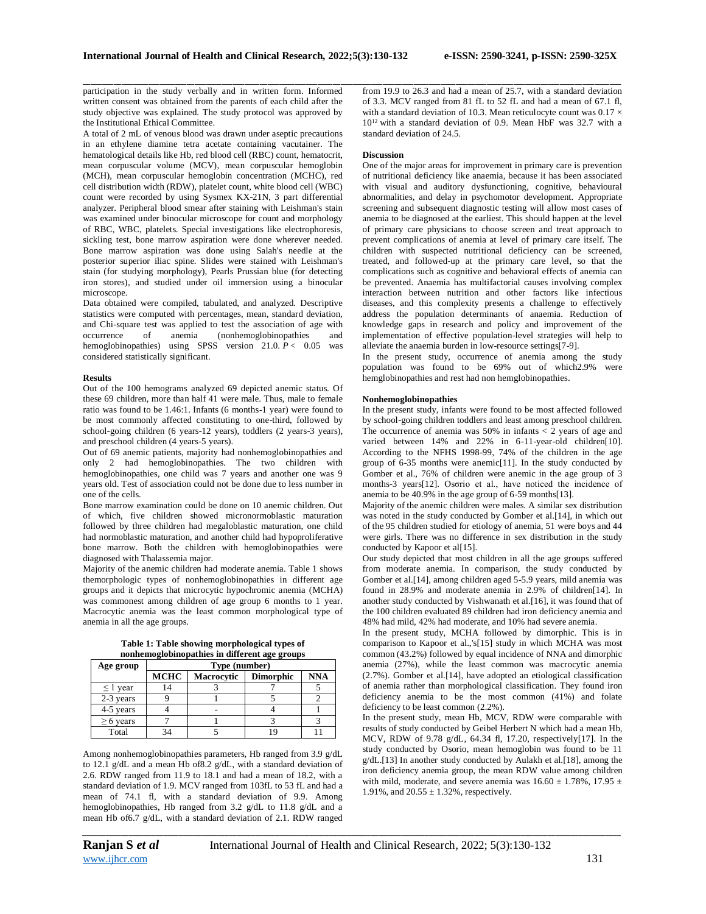participation in the study verbally and in written form. Informed written consent was obtained from the parents of each child after the study objective was explained. The study protocol was approved by the Institutional Ethical Committee.

A total of 2 mL of venous blood was drawn under aseptic precautions in an ethylene diamine tetra acetate containing vacutainer. The hematological details like Hb, red blood cell (RBC) count, hematocrit, mean corpuscular volume (MCV), mean corpuscular hemoglobin (MCH), mean corpuscular hemoglobin concentration (MCHC), red cell distribution width (RDW), platelet count, white blood cell (WBC) count were recorded by using Sysmex KX-21N, 3 part differential analyzer. Peripheral blood smear after staining with Leishman's stain was examined under binocular microscope for count and morphology of RBC, WBC, platelets. Special investigations like electrophoresis, sickling test, bone marrow aspiration were done wherever needed. Bone marrow aspiration was done using Salah's needle at the posterior superior iliac spine. Slides were stained with Leishman's stain (for studying morphology), Pearls Prussian blue (for detecting iron stores), and studied under oil immersion using a binocular microscope.

Data obtained were compiled, tabulated, and analyzed. Descriptive statistics were computed with percentages, mean, standard deviation, and Chi-square test was applied to test the association of age with occurrence of anemia (nonhemoglobinopathies and hemoglobinopathies) using SPSS version 21.0.  $P < 0.05$  was considered statistically significant.

#### **Results**

Out of the 100 hemograms analyzed 69 depicted anemic status. Of these 69 children, more than half 41 were male. Thus, male to female ratio was found to be 1.46:1. Infants (6 months-1 year) were found to be most commonly affected constituting to one-third, followed by school-going children (6 years-12 years), toddlers (2 years-3 years), and preschool children (4 years-5 years).

Out of 69 anemic patients, majority had nonhemoglobinopathies and only 2 had hemoglobinopathies. The two children with hemoglobinopathies, one child was 7 years and another one was 9 years old. Test of association could not be done due to less number in one of the cells.

Bone marrow examination could be done on 10 anemic children. Out of which, five children showed micronormoblastic maturation followed by three children had megaloblastic maturation, one child had normoblastic maturation, and another child had hypoproliferative bone marrow. Both the children with hemoglobinopathies were diagnosed with Thalassemia major.

Majority of the anemic children had moderate anemia. Table 1 shows themorphologic types of nonhemoglobinopathies in different age groups and it depicts that microcytic hypochromic anemia (MCHA) was commonest among children of age group 6 months to 1 year. Macrocytic anemia was the least common morphological type of anemia in all the age groups.

**Table 1: Table showing morphological types of nonhemoglobinopathies in different age groups**

| Age group      | Type (number) |                   |                  |     |
|----------------|---------------|-------------------|------------------|-----|
|                | <b>MCHC</b>   | <b>Macrocytic</b> | <b>Dimorphic</b> | NNA |
| $\leq 1$ year  | 14            |                   |                  |     |
| 2-3 years      |               |                   |                  |     |
| 4-5 years      |               |                   |                  |     |
| $\geq 6$ years |               |                   |                  |     |
| Total          |               |                   |                  |     |

Among nonhemoglobinopathies parameters, Hb ranged from 3.9 g/dL to 12.1 g/dL and a mean Hb of8.2 g/dL, with a standard deviation of 2.6. RDW ranged from 11.9 to 18.1 and had a mean of 18.2, with a standard deviation of 1.9. MCV ranged from 103fL to 53 fL and had a mean of 74.1 fl, with a standard deviation of 9.9. Among hemoglobinopathies, Hb ranged from 3.2 g/dL to 11.8 g/dL and a mean Hb of6.7 g/dL, with a standard deviation of 2.1. RDW ranged

\_\_\_\_\_\_\_\_\_\_\_\_\_\_\_\_\_\_\_\_\_\_\_\_\_\_\_\_\_\_\_\_\_\_\_\_\_\_\_\_\_\_\_\_\_\_\_\_\_\_\_\_\_\_\_\_\_\_\_\_\_\_\_\_\_\_\_\_\_\_\_\_\_\_\_\_\_\_\_\_\_\_\_\_\_\_\_\_\_\_\_\_\_\_\_\_\_\_\_\_\_\_\_\_\_\_\_\_\_\_\_\_\_\_\_\_\_\_\_\_\_\_\_\_\_\_\_\_\_\_\_\_\_\_\_\_\_\_\_\_ from 19.9 to 26.3 and had a mean of 25.7, with a standard deviation of 3.3. MCV ranged from 81 fL to 52 fL and had a mean of 67.1 fl, with a standard deviation of 10.3. Mean reticulocyte count was  $0.17 \times$ 10<sup>12</sup> with a standard deviation of 0.9. Mean HbF was 32.7 with a standard deviation of 24.5.

## **Discussion**

One of the major areas for improvement in primary care is prevention of nutritional deficiency like anaemia, because it has been associated with visual and auditory dysfunctioning, cognitive, behavioural abnormalities, and delay in psychomotor development. Appropriate screening and subsequent diagnostic testing will allow most cases of anemia to be diagnosed at the earliest. This should happen at the level of primary care physicians to choose screen and treat approach to prevent complications of anemia at level of primary care itself. The children with suspected nutritional deficiency can be screened, treated, and followed-up at the primary care level, so that the complications such as cognitive and behavioral effects of anemia can be prevented. Anaemia has multifactorial causes involving complex interaction between nutrition and other factors like infectious diseases, and this complexity presents a challenge to effectively address the population determinants of anaemia. Reduction of knowledge gaps in research and policy and improvement of the implementation of effective population-level strategies will help to alleviate the anaemia burden in low-resource settings[7-9].

In the present study, occurrence of anemia among the study population was found to be 69% out of which2.9% were hemglobinopathies and rest had non hemglobinopathies.

# **Nonhemoglobinopathies**

In the present study, infants were found to be most affected followed by school-going children toddlers and least among preschool children. The occurrence of anemia was 50% in infants  $\lt 2$  years of age and varied between 14% and 22% in 6-11-year-old children<sup>[10]</sup>. According to the NFHS 1998-99, 74% of the children in the age group of 6-35 months were anemic[11]. In the study conducted by Gomber et al., 76% of children were anemic in the age group of 3 months-3 years[12]. Osσrio et al., have noticed the incidence of anemia to be 40.9% in the age group of 6-59 months[13].

Majority of the anemic children were males. A similar sex distribution was noted in the study conducted by Gomber et al.[14], in which out of the 95 children studied for etiology of anemia, 51 were boys and 44 were girls. There was no difference in sex distribution in the study conducted by Kapoor et al[15].

Our study depicted that most children in all the age groups suffered from moderate anemia. In comparison, the study conducted by Gomber et al.[14], among children aged 5-5.9 years, mild anemia was found in 28.9% and moderate anemia in 2.9% of children[14]. In another study conducted by Vishwanath et al.[16], it was found that of the 100 children evaluated 89 children had iron deficiency anemia and 48% had mild, 42% had moderate, and 10% had severe anemia.

In the present study, MCHA followed by dimorphic. This is in comparison to Kapoor et al.,'s[15] study in which MCHA was most common (43.2%) followed by equal incidence of NNA and dimorphic anemia (27%), while the least common was macrocytic anemia (2.7%). Gomber et al.[14], have adopted an etiological classification of anemia rather than morphological classification. They found iron deficiency anemia to be the most common (41%) and folate deficiency to be least common (2.2%).

In the present study, mean Hb, MCV, RDW were comparable with results of study conducted by Geibel Herbert N which had a mean Hb, MCV, RDW of 9.78 g/dL, 64.34 fl, 17.20, respectively[17]. In the study conducted by Osorio, mean hemoglobin was found to be 11 g/dL.[13] In another study conducted by Aulakh et al.[18], among the iron deficiency anemia group, the mean RDW value among children with mild, moderate, and severe anemia was  $16.60 \pm 1.78\%$ ,  $17.95 \pm$ 1.91%, and  $20.55 \pm 1.32$ %, respectively.

*\_\_\_\_\_\_\_\_\_\_\_\_\_\_\_\_\_\_\_\_\_\_\_\_\_\_\_\_\_\_\_\_\_\_\_\_\_\_\_\_\_\_\_\_\_\_\_\_\_\_\_\_\_\_\_\_\_\_\_\_\_\_\_\_\_\_\_\_\_\_\_\_\_\_\_\_\_\_\_\_\_\_\_\_\_\_\_\_\_\_\_\_\_\_\_\_\_\_\_\_\_\_\_\_\_\_\_\_\_\_\_\_\_\_\_\_\_\_\_\_\_\_\_\_\_\_\_\_\_\_\_\_\_\_\_\_\_\_\_\_*